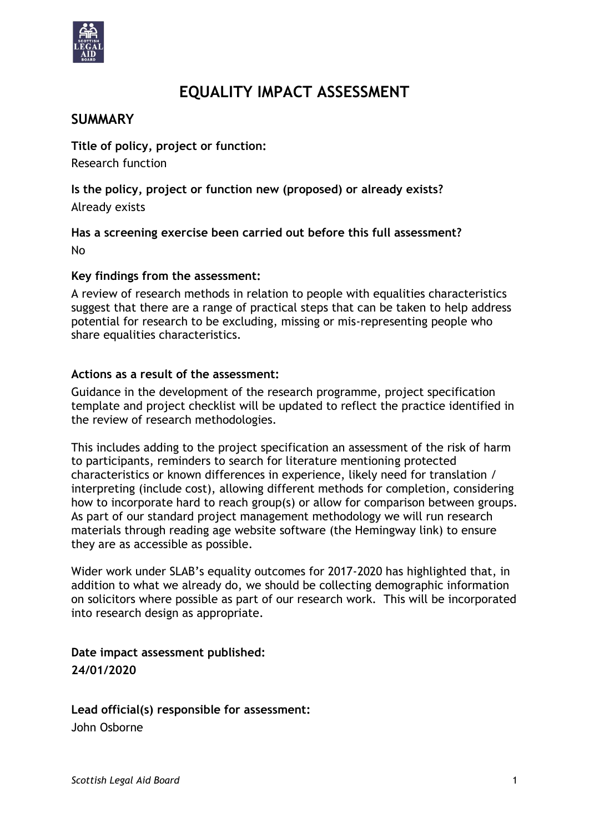

# **EQUALITY IMPACT ASSESSMENT**

## **SUMMARY**

**Title of policy, project or function:** Research function

**Is the policy, project or function new (proposed) or already exists?**  Already exists

**Has a screening exercise been carried out before this full assessment?** No

### **Key findings from the assessment:**

A review of research methods in relation to people with equalities characteristics suggest that there are a range of practical steps that can be taken to help address potential for research to be excluding, missing or mis-representing people who share equalities characteristics.

#### **Actions as a result of the assessment:**

Guidance in the development of the research programme, project specification template and project checklist will be updated to reflect the practice identified in the review of research methodologies.

This includes adding to the project specification an assessment of the risk of harm to participants, reminders to search for literature mentioning protected characteristics or known differences in experience, likely need for translation / interpreting (include cost), allowing different methods for completion, considering how to incorporate hard to reach group(s) or allow for comparison between groups. As part of our standard project management methodology we will run research materials through reading age website software (the Hemingway link) to ensure they are as accessible as possible.

Wider work under SLAB's equality outcomes for 2017-2020 has highlighted that, in addition to what we already do, we should be collecting demographic information on solicitors where possible as part of our research work. This will be incorporated into research design as appropriate.

**Date impact assessment published: 24/01/2020**

**Lead official(s) responsible for assessment:** John Osborne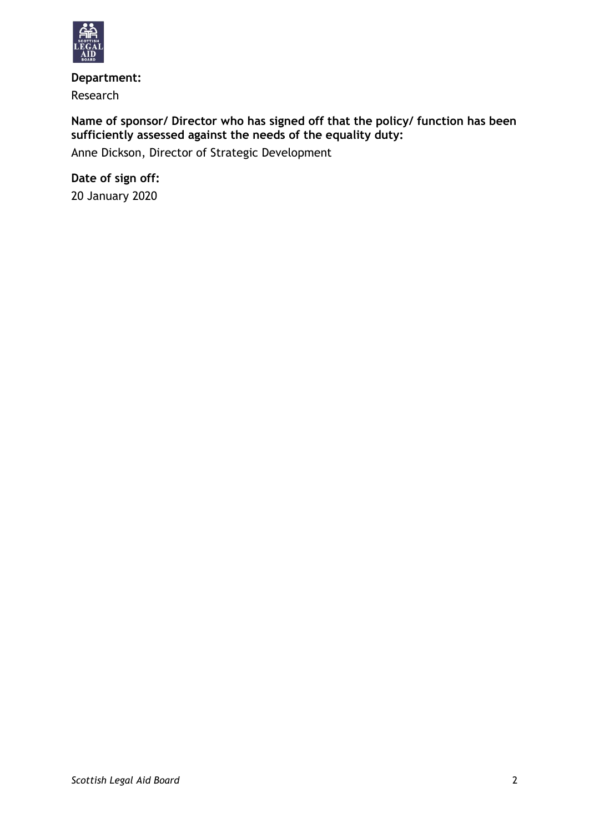

**Department:** Research

# **Name of sponsor/ Director who has signed off that the policy/ function has been sufficiently assessed against the needs of the equality duty:**

Anne Dickson, Director of Strategic Development

**Date of sign off:** 20 January 2020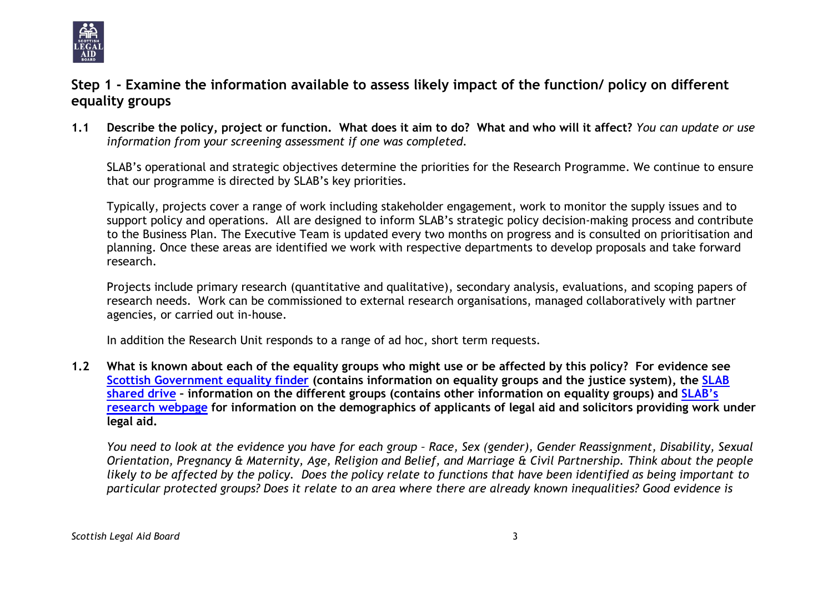

# **Step 1 - Examine the information available to assess likely impact of the function/ policy on different equality groups**

**1.1 Describe the policy, project or function. What does it aim to do? What and who will it affect?** *You can update or use information from your screening assessment if one was completed.*

SLAB's operational and strategic objectives determine the priorities for the Research Programme. We continue to ensure that our programme is directed by SLAB's key priorities.

Typically, projects cover a range of work including stakeholder engagement, work to monitor the supply issues and to support policy and operations. All are designed to inform SLAB's strategic policy decision-making process and contribute to the Business Plan. The Executive Team is updated every two months on progress and is consulted on prioritisation and planning. Once these areas are identified we work with respective departments to develop proposals and take forward research.

Projects include primary research (quantitative and qualitative), secondary analysis, evaluations, and scoping papers of research needs. Work can be commissioned to external research organisations, managed collaboratively with partner agencies, or carried out in-house.

In addition the Research Unit responds to a range of ad hoc, short term requests.

**1.2 What is known about each of the equality groups who might use or be affected by this policy? For evidence see [Scottish Government equality finder](http://www.scotland.gov.uk/Topics/People/Equality/Equalities/DataGrid) (contains information on equality groups and the justice system), the [SLAB](file://///cifssata/Common/Common/Shared/Equalities/Equality%20information/The%20different%20equality%20groups)  [shared drive](file://///cifssata/Common/Common/Shared/Equalities/Equality%20information/The%20different%20equality%20groups) – information on the different groups (contains other information on equality groups) and [SLAB's](http://www.slab.org.uk/about-us/what-we-do/research/index.html)  [research webpage](http://www.slab.org.uk/about-us/what-we-do/research/index.html) for information on the demographics of applicants of legal aid and solicitors providing work under legal aid.**

*You need to look at the evidence you have for each group – Race, Sex (gender), Gender Reassignment, Disability, Sexual Orientation, Pregnancy & Maternity, Age, Religion and Belief, and Marriage & Civil Partnership. Think about the people likely to be affected by the policy. Does the policy relate to functions that have been identified as being important to particular protected groups? Does it relate to an area where there are already known inequalities? Good evidence is*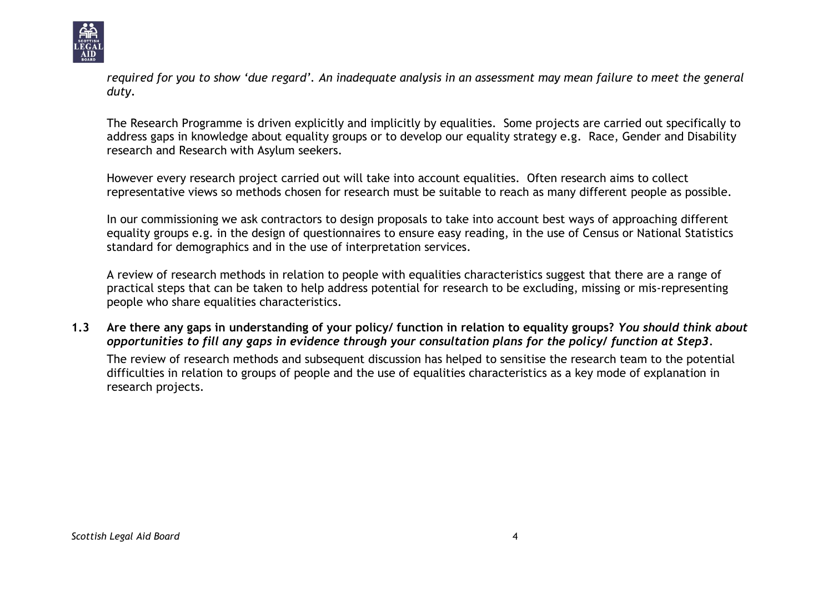

*required for you to show 'due regard'. An inadequate analysis in an assessment may mean failure to meet the general duty.*

The Research Programme is driven explicitly and implicitly by equalities. Some projects are carried out specifically to address gaps in knowledge about equality groups or to develop our equality strategy e.g. Race, Gender and Disability research and Research with Asylum seekers.

However every research project carried out will take into account equalities. Often research aims to collect representative views so methods chosen for research must be suitable to reach as many different people as possible.

In our commissioning we ask contractors to design proposals to take into account best ways of approaching different equality groups e.g. in the design of questionnaires to ensure easy reading, in the use of Census or National Statistics standard for demographics and in the use of interpretation services.

A review of research methods in relation to people with equalities characteristics suggest that there are a range of practical steps that can be taken to help address potential for research to be excluding, missing or mis-representing people who share equalities characteristics.

**1.3 Are there any gaps in understanding of your policy/ function in relation to equality groups?** *You should think about opportunities to fill any gaps in evidence through your consultation plans for the policy/ function at Step3.*

The review of research methods and subsequent discussion has helped to sensitise the research team to the potential difficulties in relation to groups of people and the use of equalities characteristics as a key mode of explanation in research projects.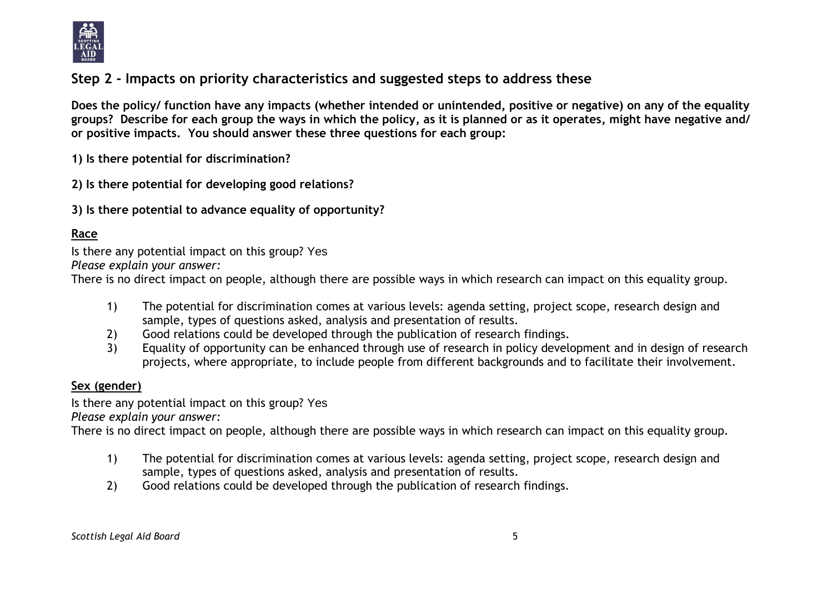

# **Step 2 - Impacts on priority characteristics and suggested steps to address these**

**Does the policy/ function have any impacts (whether intended or unintended, positive or negative) on any of the equality groups? Describe for each group the ways in which the policy, as it is planned or as it operates, might have negative and/ or positive impacts. You should answer these three questions for each group:** 

**1) Is there potential for discrimination?** 

**2) Is there potential for developing good relations?**

**3) Is there potential to advance equality of opportunity?**

## **Race**

Is there any potential impact on this group? Yes

*Please explain your answer:*

There is no direct impact on people, although there are possible ways in which research can impact on this equality group.

- 1) The potential for discrimination comes at various levels: agenda setting, project scope, research design and sample, types of questions asked, analysis and presentation of results.
- 2) Good relations could be developed through the publication of research findings.
- 3) Equality of opportunity can be enhanced through use of research in policy development and in design of research projects, where appropriate, to include people from different backgrounds and to facilitate their involvement.

### **Sex (gender)**

Is there any potential impact on this group? Yes

*Please explain your answer:*

There is no direct impact on people, although there are possible ways in which research can impact on this equality group.

- 1) The potential for discrimination comes at various levels: agenda setting, project scope, research design and sample, types of questions asked, analysis and presentation of results.
- 2) Good relations could be developed through the publication of research findings.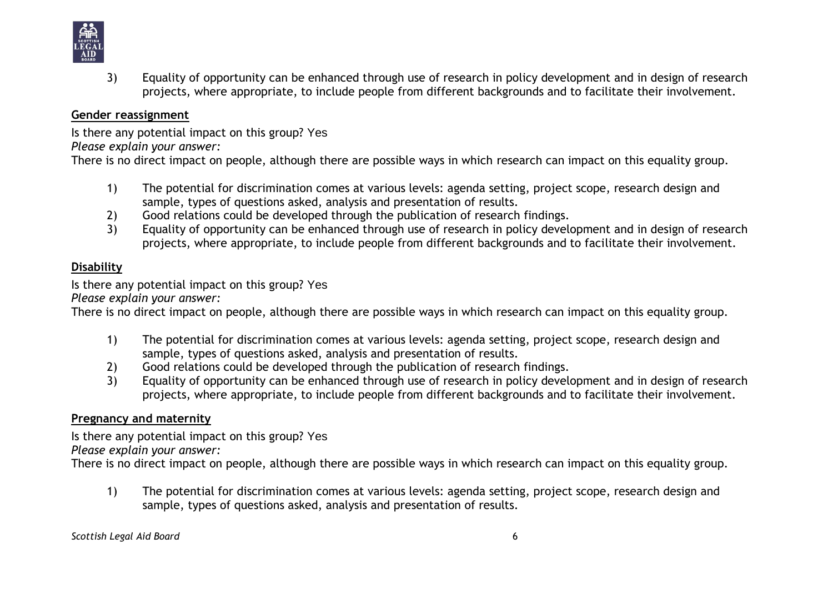

3) Equality of opportunity can be enhanced through use of research in policy development and in design of research projects, where appropriate, to include people from different backgrounds and to facilitate their involvement.

#### **Gender reassignment**

Is there any potential impact on this group? Yes

*Please explain your answer:*

There is no direct impact on people, although there are possible ways in which research can impact on this equality group.

- 1) The potential for discrimination comes at various levels: agenda setting, project scope, research design and sample, types of questions asked, analysis and presentation of results.
- 2) Good relations could be developed through the publication of research findings.
- 3) Equality of opportunity can be enhanced through use of research in policy development and in design of research projects, where appropriate, to include people from different backgrounds and to facilitate their involvement.

## **Disability**

Is there any potential impact on this group? Yes

*Please explain your answer:*

There is no direct impact on people, although there are possible ways in which research can impact on this equality group.

- 1) The potential for discrimination comes at various levels: agenda setting, project scope, research design and sample, types of questions asked, analysis and presentation of results.
- 2) Good relations could be developed through the publication of research findings.
- 3) Equality of opportunity can be enhanced through use of research in policy development and in design of research projects, where appropriate, to include people from different backgrounds and to facilitate their involvement.

## **Pregnancy and maternity**

Is there any potential impact on this group? Yes *Please explain your answer:*

There is no direct impact on people, although there are possible ways in which research can impact on this equality group.

1) The potential for discrimination comes at various levels: agenda setting, project scope, research design and sample, types of questions asked, analysis and presentation of results.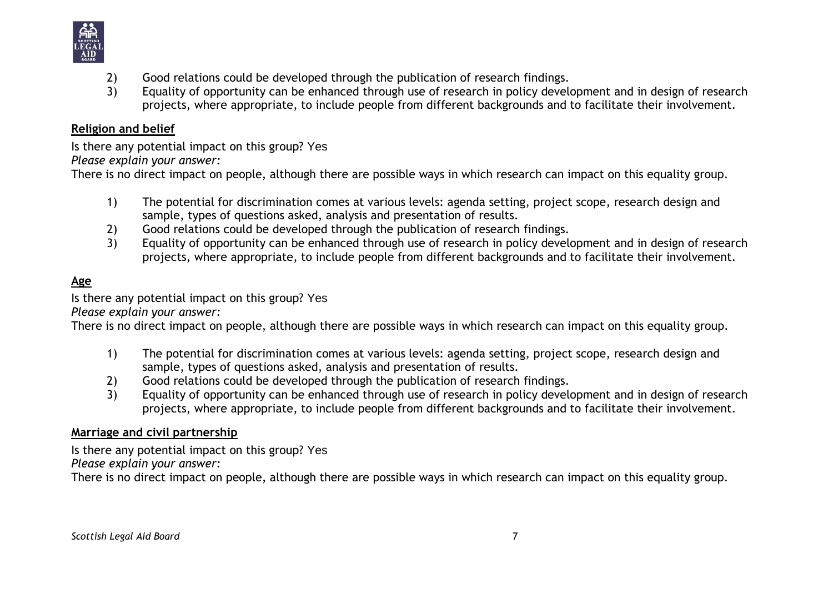

- 2) Good relations could be developed through the publication of research findings.
- 3) Equality of opportunity can be enhanced through use of research in policy development and in design of research projects, where appropriate, to include people from different backgrounds and to facilitate their involvement.

#### **Religion and belief**

Is there any potential impact on this group? Yes

*Please explain your answer:*

There is no direct impact on people, although there are possible ways in which research can impact on this equality group.

- 1) The potential for discrimination comes at various levels: agenda setting, project scope, research design and sample, types of questions asked, analysis and presentation of results.
- 2) Good relations could be developed through the publication of research findings.
- 3) Equality of opportunity can be enhanced through use of research in policy development and in design of research projects, where appropriate, to include people from different backgrounds and to facilitate their involvement.

# **Age**

Is there any potential impact on this group? Yes

*Please explain your answer:*

There is no direct impact on people, although there are possible ways in which research can impact on this equality group.

- 1) The potential for discrimination comes at various levels: agenda setting, project scope, research design and sample, types of questions asked, analysis and presentation of results.
- 2) Good relations could be developed through the publication of research findings.
- 3) Equality of opportunity can be enhanced through use of research in policy development and in design of research projects, where appropriate, to include people from different backgrounds and to facilitate their involvement.

### **Marriage and civil partnership**

Is there any potential impact on this group? Yes *Please explain your answer:*

There is no direct impact on people, although there are possible ways in which research can impact on this equality group.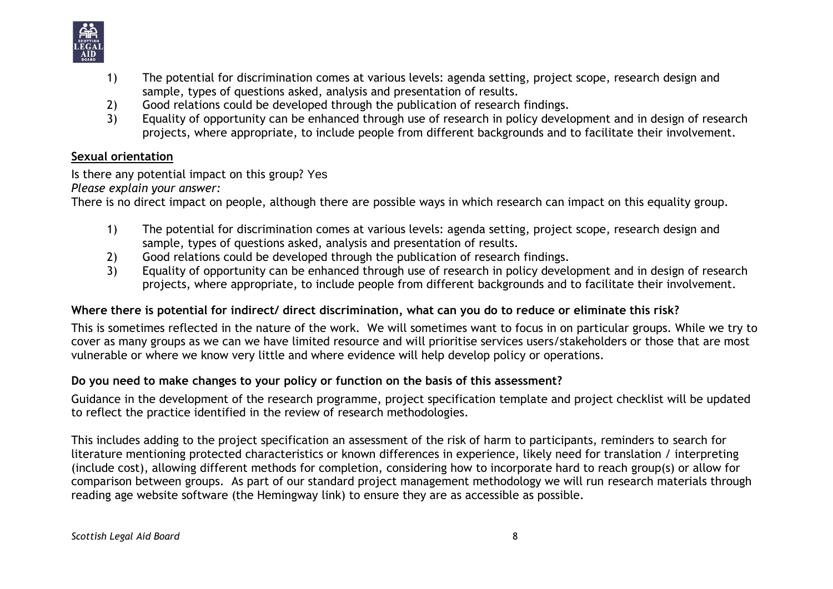

- 1) The potential for discrimination comes at various levels: agenda setting, project scope, research design and sample, types of questions asked, analysis and presentation of results.
- 2) Good relations could be developed through the publication of research findings.<br>3) Equality of opportunity can be enhanced through use of research in policy devel
- 3) Equality of opportunity can be enhanced through use of research in policy development and in design of research projects, where appropriate, to include people from different backgrounds and to facilitate their involvement.

### **Sexual orientation**

Is there any potential impact on this group? Yes *Please explain your answer:*

There is no direct impact on people, although there are possible ways in which research can impact on this equality group.

- 1) The potential for discrimination comes at various levels: agenda setting, project scope, research design and sample, types of questions asked, analysis and presentation of results.
- 2) Good relations could be developed through the publication of research findings.
- 3) Equality of opportunity can be enhanced through use of research in policy development and in design of research projects, where appropriate, to include people from different backgrounds and to facilitate their involvement.

## **Where there is potential for indirect/ direct discrimination, what can you do to reduce or eliminate this risk?**

This is sometimes reflected in the nature of the work. We will sometimes want to focus in on particular groups. While we try to cover as many groups as we can we have limited resource and will prioritise services users/stakeholders or those that are most vulnerable or where we know very little and where evidence will help develop policy or operations.

### **Do you need to make changes to your policy or function on the basis of this assessment?**

Guidance in the development of the research programme, project specification template and project checklist will be updated to reflect the practice identified in the review of research methodologies.

This includes adding to the project specification an assessment of the risk of harm to participants, reminders to search for literature mentioning protected characteristics or known differences in experience, likely need for translation / interpreting (include cost), allowing different methods for completion, considering how to incorporate hard to reach group(s) or allow for comparison between groups. As part of our standard project management methodology we will run research materials through reading age website software (the Hemingway link) to ensure they are as accessible as possible.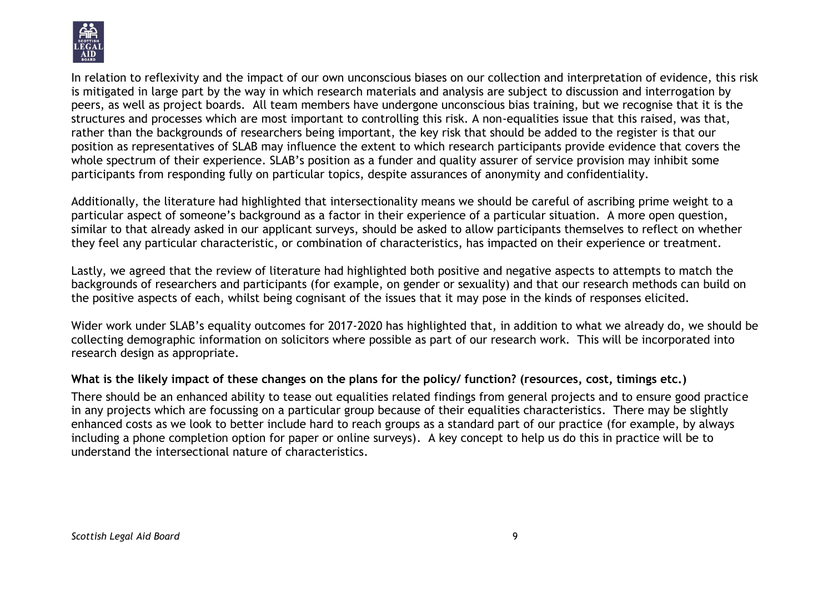

In relation to reflexivity and the impact of our own unconscious biases on our collection and interpretation of evidence, this risk is mitigated in large part by the way in which research materials and analysis are subject to discussion and interrogation by peers, as well as project boards. All team members have undergone unconscious bias training, but we recognise that it is the structures and processes which are most important to controlling this risk. A non-equalities issue that this raised, was that, rather than the backgrounds of researchers being important, the key risk that should be added to the register is that our position as representatives of SLAB may influence the extent to which research participants provide evidence that covers the whole spectrum of their experience. SLAB's position as a funder and quality assurer of service provision may inhibit some participants from responding fully on particular topics, despite assurances of anonymity and confidentiality.

Additionally, the literature had highlighted that intersectionality means we should be careful of ascribing prime weight to a particular aspect of someone's background as a factor in their experience of a particular situation. A more open question, similar to that already asked in our applicant surveys, should be asked to allow participants themselves to reflect on whether they feel any particular characteristic, or combination of characteristics, has impacted on their experience or treatment.

Lastly, we agreed that the review of literature had highlighted both positive and negative aspects to attempts to match the backgrounds of researchers and participants (for example, on gender or sexuality) and that our research methods can build on the positive aspects of each, whilst being cognisant of the issues that it may pose in the kinds of responses elicited.

Wider work under SLAB's equality outcomes for 2017-2020 has highlighted that, in addition to what we already do, we should be collecting demographic information on solicitors where possible as part of our research work. This will be incorporated into research design as appropriate.

### **What is the likely impact of these changes on the plans for the policy/ function? (resources, cost, timings etc.)**

There should be an enhanced ability to tease out equalities related findings from general projects and to ensure good practice in any projects which are focussing on a particular group because of their equalities characteristics. There may be slightly enhanced costs as we look to better include hard to reach groups as a standard part of our practice (for example, by always including a phone completion option for paper or online surveys). A key concept to help us do this in practice will be to understand the intersectional nature of characteristics.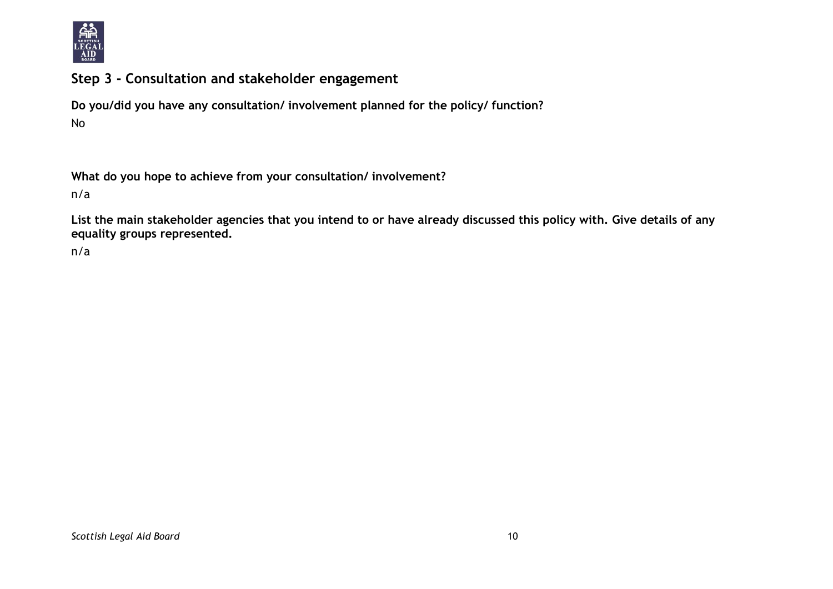

# **Step 3 - Consultation and stakeholder engagement**

**Do you/did you have any consultation/ involvement planned for the policy/ function?** No

**What do you hope to achieve from your consultation/ involvement?**

n/a

**List the main stakeholder agencies that you intend to or have already discussed this policy with. Give details of any equality groups represented.**

n/a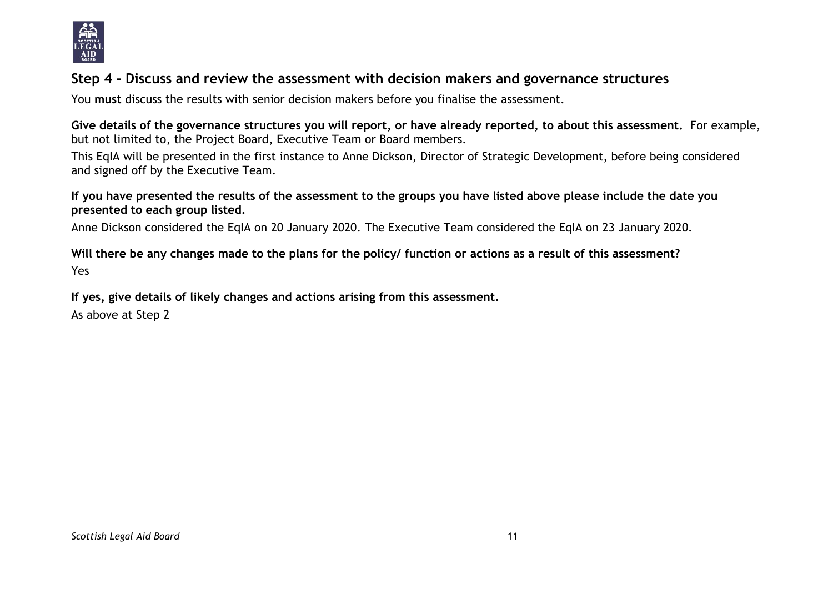

# **Step 4 - Discuss and review the assessment with decision makers and governance structures**

You **must** discuss the results with senior decision makers before you finalise the assessment.

**Give details of the governance structures you will report, or have already reported, to about this assessment.** For example, but not limited to, the Project Board, Executive Team or Board members.

This EqIA will be presented in the first instance to Anne Dickson, Director of Strategic Development, before being considered and signed off by the Executive Team.

**If you have presented the results of the assessment to the groups you have listed above please include the date you presented to each group listed.**

Anne Dickson considered the EqIA on 20 January 2020. The Executive Team considered the EqIA on 23 January 2020.

**Will there be any changes made to the plans for the policy/ function or actions as a result of this assessment?** Yes

**If yes, give details of likely changes and actions arising from this assessment.**

As above at Step 2